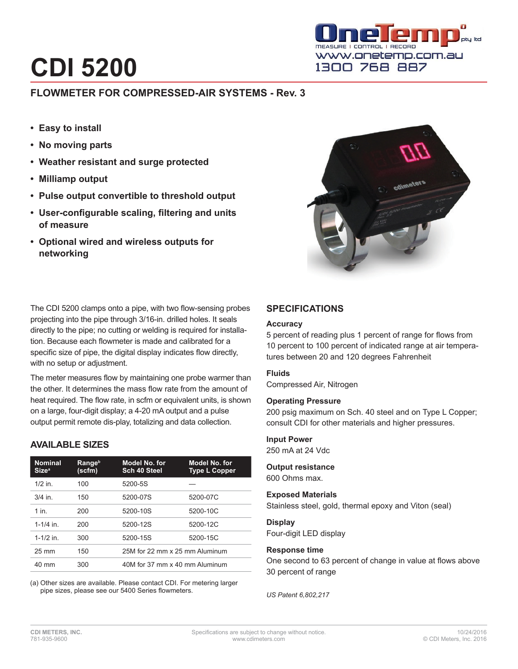# **CDI 5200**

# **FLOWMETER FOR COMPRESSED-AIR SYSTEMS - Rev. 3**

- **• Easy to install**
- **• No moving parts**
- **• Weather resistant and surge protected**
- **• Milliamp output**
- **• Pulse output convertible to threshold output**
- **• User-configurable scaling, filtering and units of measure**
- **• Optional wired and wireless outputs for networking**



The CDI 5200 clamps onto a pipe, with two flow-sensing probes projecting into the pipe through 3/16-in. drilled holes. It seals directly to the pipe; no cutting or welding is required for installation. Because each flowmeter is made and calibrated for a specific size of pipe, the digital display indicates flow directly, with no setup or adjustment.

The meter measures flow by maintaining one probe warmer than the other. It determines the mass flow rate from the amount of heat required. The flow rate, in scfm or equivalent units, is shown on a large, four-digit display; a 4-20 mA output and a pulse output permit remote dis-play, totalizing and data collection.

# **AVAILABLE SIZES**

| <b>Nominal</b><br><b>Size<sup>a</sup></b> | <b>Range</b> <sup>b</sup><br>(scfm) | Model No. for<br>Sch 40 Steel  | Model No. for<br><b>Type L Copper</b> |
|-------------------------------------------|-------------------------------------|--------------------------------|---------------------------------------|
| $1/2$ in                                  | 100                                 | 5200-5S                        |                                       |
| $3/4$ in.                                 | 150                                 | 5200-07S                       | 5200-07C                              |
| 1 in                                      | 200                                 | 5200-10S                       | 5200-10C                              |
| $1 - 1/4$ in                              | 200                                 | 5200-12S                       | 5200-12C                              |
| $1 - 1/2$ in.                             | 300                                 | 5200-15S                       | 5200-15C                              |
| $25 \text{ mm}$                           | 150                                 | 25M for 22 mm x 25 mm Aluminum |                                       |
| 40 mm                                     | 300                                 | 40M for 37 mm x 40 mm Aluminum |                                       |

(a) Other sizes are available. Please contact CDI. For metering larger pipe sizes, please see our 5400 Series flowmeters.

# **SPECIFICATIONS**

## **Accuracy**

5 percent of reading plus 1 percent of range for flows from 10 percent to 100 percent of indicated range at air temperatures between 20 and 120 degrees Fahrenheit

## **Fluids**

Compressed Air, Nitrogen

#### **Operating Pressure**

200 psig maximum on Sch. 40 steel and on Type L Copper; consult CDI for other materials and higher pressures.

## **Input Power**

250 mA at 24 Vdc

# **Output resistance**

600 Ohms max.

#### **Exposed Materials**

Stainless steel, gold, thermal epoxy and Viton (seal)

#### **Display**

Four-digit LED display

## **Response time**

One second to 63 percent of change in value at flows above 30 percent of range

*US Patent 6,802,217*